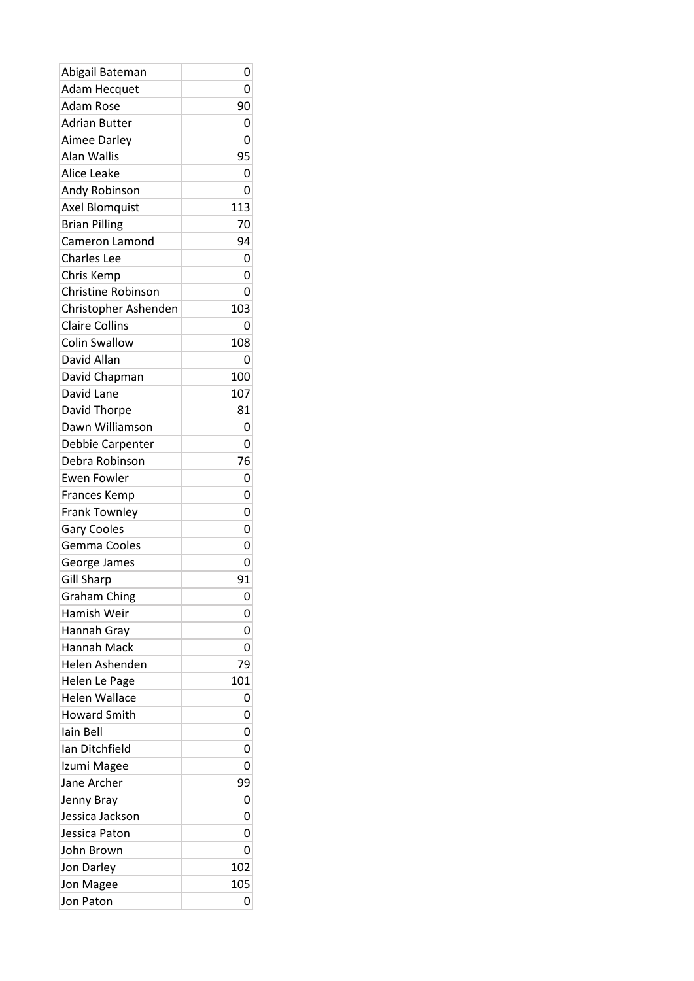| Abigail Bateman           | 0   |
|---------------------------|-----|
| <b>Adam Hecquet</b>       | 0   |
| <b>Adam Rose</b>          | 90  |
| <b>Adrian Butter</b>      | 0   |
| Aimee Darley              | 0   |
| Alan Wallis               | 95  |
| Alice Leake               | 0   |
| Andy Robinson             | 0   |
| Axel Blomquist            | 113 |
| <b>Brian Pilling</b>      | 70  |
| Cameron Lamond            | 94  |
| <b>Charles Lee</b>        | 0   |
| Chris Kemp                | 0   |
| <b>Christine Robinson</b> | 0   |
| Christopher Ashenden      | 103 |
| <b>Claire Collins</b>     | 0   |
| <b>Colin Swallow</b>      | 108 |
| David Allan               | 0   |
| David Chapman             | 100 |
| David Lane                | 107 |
| David Thorpe              | 81  |
| Dawn Williamson           | 0   |
| Debbie Carpenter          | 0   |
| Debra Robinson            | 76  |
| <b>Ewen Fowler</b>        | 0   |
|                           | 0   |
| <b>Frances Kemp</b>       | 0   |
| <b>Frank Townley</b>      | 0   |
| <b>Gary Cooles</b>        |     |
| Gemma Cooles              | 0   |
| George James              | 0   |
| <b>Gill Sharp</b>         | 91  |
| <b>Graham Ching</b>       | 0   |
| Hamish Weir               | 0   |
| Hannah Gray               | 0   |
| Hannah Mack               | 0   |
| Helen Ashenden            | 79  |
| Helen Le Page             | 101 |
| <b>Helen Wallace</b>      | 0   |
| <b>Howard Smith</b>       | 0   |
| lain Bell                 | 0   |
| Ian Ditchfield            | 0   |
| Izumi Magee               | 0   |
| Jane Archer               | 99  |
| Jenny Bray                | 0   |
| Jessica Jackson           | 0   |
| Jessica Paton             | 0   |
| John Brown                | 0   |
| Jon Darley                | 102 |
| Jon Magee                 | 105 |
| Jon Paton                 | 0   |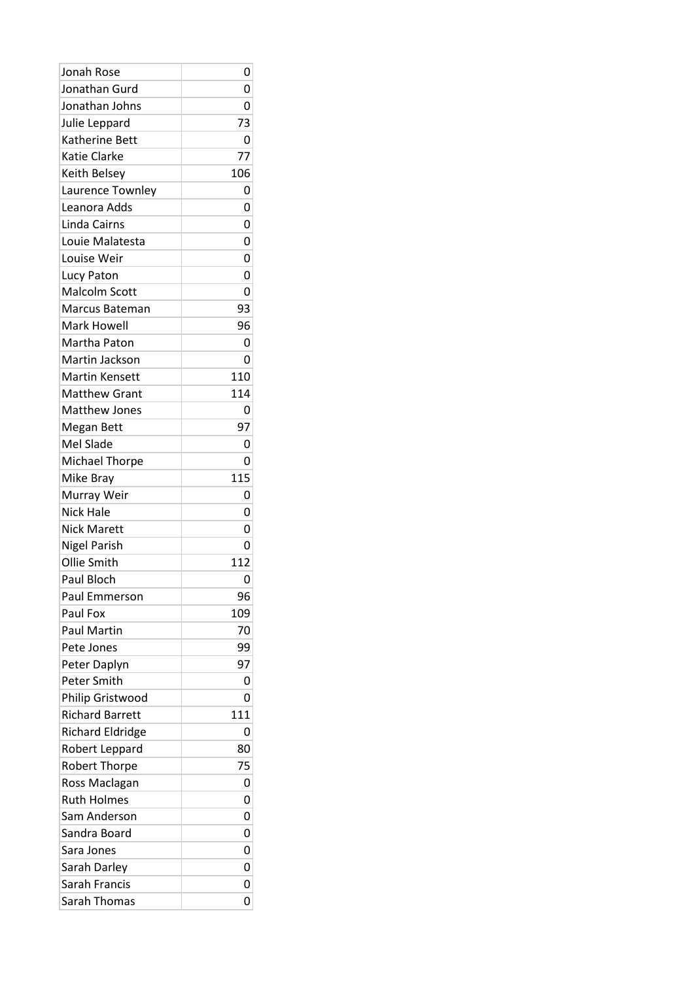| Jonah Rose              | 0   |
|-------------------------|-----|
| Jonathan Gurd           | 0   |
| Jonathan Johns          | 0   |
| Julie Leppard           | 73  |
| Katherine Bett          | 0   |
| <b>Katie Clarke</b>     | 77  |
| Keith Belsey            | 106 |
| Laurence Townley        | 0   |
| Leanora Adds            | 0   |
| Linda Cairns            | 0   |
| Louie Malatesta         | 0   |
| Louise Weir             | 0   |
| Lucy Paton              | 0   |
| <b>Malcolm Scott</b>    | 0   |
| Marcus Bateman          | 93  |
| <b>Mark Howell</b>      | 96  |
| <b>Martha Paton</b>     | 0   |
| Martin Jackson          | 0   |
| <b>Martin Kensett</b>   | 110 |
| <b>Matthew Grant</b>    | 114 |
| <b>Matthew Jones</b>    | 0   |
| Megan Bett              | 97  |
| Mel Slade               | 0   |
| <b>Michael Thorpe</b>   | 0   |
| Mike Bray               | 115 |
| Murray Weir             | 0   |
| <b>Nick Hale</b>        | 0   |
| <b>Nick Marett</b>      | 0   |
| Nigel Parish            | 0   |
| Ollie Smith             | 112 |
| Paul Bloch              | 0   |
| Paul Emmerson           | 96  |
| Paul Fox                | 109 |
| <b>Paul Martin</b>      | 70  |
| Pete Jones              | 99  |
| Peter Daplyn            | 97  |
| Peter Smith             | 0   |
| Philip Gristwood        | 0   |
| <b>Richard Barrett</b>  | 111 |
| <b>Richard Eldridge</b> | 0   |
|                         | 80  |
| Robert Leppard          | 75  |
| <b>Robert Thorpe</b>    |     |
| Ross Maclagan           | 0   |
| <b>Ruth Holmes</b>      | 0   |
| Sam Anderson            | 0   |
| Sandra Board            | 0   |
| Sara Jones              | 0   |
| Sarah Darley            | 0   |
| Sarah Francis           | 0   |
| Sarah Thomas            | 0   |